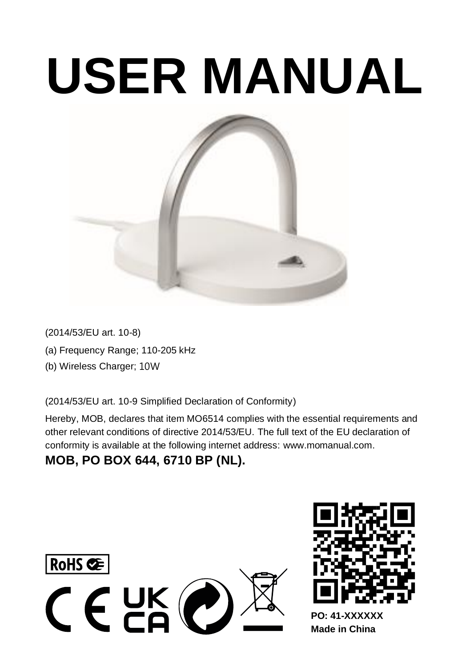# **USER MANUAL**



(2014/53/EU art. 10-8) (a) Frequency Range; 110-205 kHz (b) Wireless Charger; 10W

(2014/53/EU art. 10-9 Simplified Declaration of Conformity)

Hereby, MOB, declares that item MO6514 complies with the essential require other relevant conditions of directive 2014/53/EU. The full text of the EU declaration of conformity is available at the following internet addres[s: www.momanual.com.](https://eur03.safelinks.protection.outlook.com/?url=http%3A%2F%2Fwww.momanual.com%2F&data=04%7C01%7CGraafM%40midocean.com%7C52d8767840d04bac3bcb08d90f95e48b%7C46c261895b9c422c8d0daea4a1911855%7C1%7C0%7C637557958716955708%7CUnknown%7CTWFpbGZsb3d8eyJWIjoiMC4wLjAwMDAiLCJQIjoiV2luMzIiLCJBTiI6Ik1haWwiLCJXVCI6Mn0%3D%7C1000&sdata=aXSPq8t8PWMsAqrYTZ5ZqBAjUmf9FXcf8DFrMyErdDM%3D&reserved=0) 

# **MOB, PO BOX 644, 6710 BP (NL).**





**Made in China**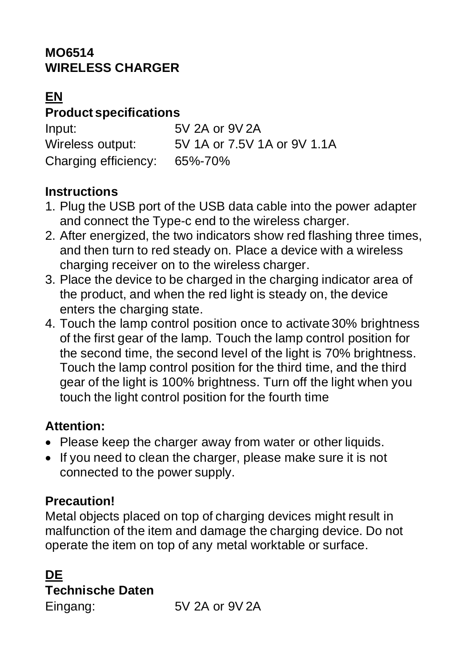#### **MO6514 WIRELESS CHARGER**

## **EN**

## **Product specifications**

| Input:               | 5V 2A or 9V 2A              |
|----------------------|-----------------------------|
| Wireless output:     | 5V 1A or 7.5V 1A or 9V 1.1A |
| Charging efficiency: | 65%-70%                     |

#### **Instructions**

- 1. Plug the USB port of the USB data cable into the power adapter and connect the Type-c end to the wireless charger.
- 2. After energized, the two indicators show red flashing three times, and then turn to red steady on. Place a device with a wireless charging receiver on to the wireless charger.
- 3. Place the device to be charged in the charging indicator area of the product, and when the red light is steady on, the device enters the charging state.
- 4. Touch the lamp control position once to activate 30% brightness of the first gear of the lamp. Touch the lamp control position for the second time, the second level of the light is 70% brightness. Touch the lamp control position for the third time, and the third gear of the light is 100% brightness. Turn off the light when you touch the light control position for the fourth time

#### **Attention:**

- Please keep the charger away from water or other liquids.
- If you need to clean the charger, please make sure it is not connected to the power supply.

# **Precaution!**

Metal objects placed on top of charging devices might result in malfunction of the item and damage the charging device. Do not operate the item on top of any metal worktable or surface.

# **DE Technische Daten**

Eingang: 5V 2A or 9V 2A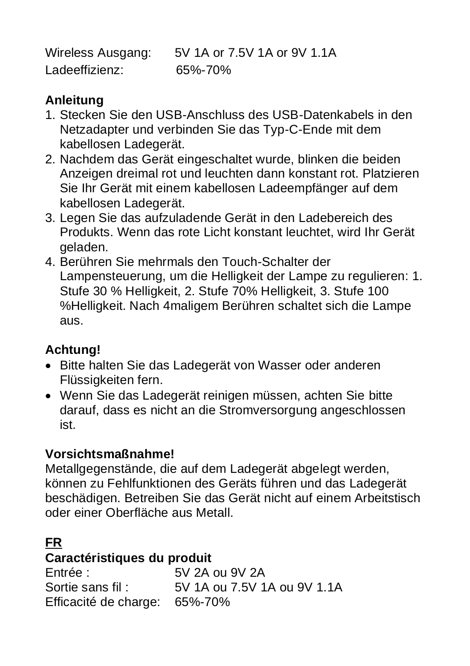Wireless Ausgang: 5V 1A or 7.5V 1A or 9V 1.1A Ladeeffizienz: 65%-70%

#### **Anleitung**

- 1. Stecken Sie den USB-Anschluss des USB-Datenkabels in den Netzadapter und verbinden Sie das Typ-C-Ende mit dem kabellosen Ladegerät.
- 2. Nachdem das Gerät eingeschaltet wurde, blinken die beiden Anzeigen dreimal rot und leuchten dann konstant rot. Platzieren Sie Ihr Gerät mit einem kabellosen Ladeempfänger auf dem kabellosen Ladegerät.
- 3. Legen Sie das aufzuladende Gerät in den Ladebereich des Produkts. Wenn das rote Licht konstant leuchtet, wird Ihr Gerät geladen.
- 4. Berühren Sie mehrmals den Touch-Schalter der Lampensteuerung, um die Helligkeit der Lampe zu regulieren: 1. Stufe 30 % Helligkeit, 2. Stufe 70% Helligkeit, 3. Stufe 100 %Helligkeit. Nach 4maligem Berühren schaltet sich die Lampe aus.

#### **Achtung!**

- Bitte halten Sie das Ladegerät von Wasser oder anderen Flüssigkeiten fern.
- Wenn Sie das Ladegerät reinigen müssen, achten Sie bitte darauf, dass es nicht an die Stromversorgung angeschlossen ist.

# **Vorsichtsmaßnahme!**

Metallgegenstände, die auf dem Ladegerät abgelegt werden, können zu Fehlfunktionen des Geräts führen und das Ladegerät beschädigen. Betreiben Sie das Gerät nicht auf einem Arbeitstisch oder einer Oberfläche aus Metall.

# **FR**

# Caractéristiques du produit

Entrée : 5V 2A ou 9V 2A  $5V1A \approx 7.5V1A \approx 9V1.4A$ Efficacité de charge: 65%-70%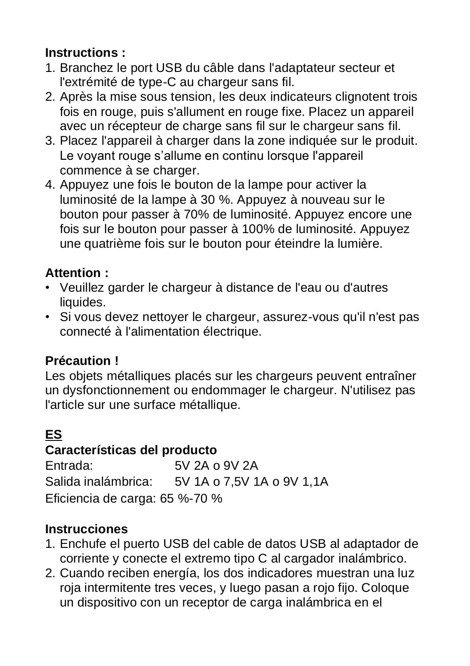# **Instructions :**

- 1. Branchez le port USB du câble dans l'adaptateur secteur et l'extrémité de type-C au chargeur sans fil.
- 2. Après la mise sous tension, les deux indicateurs clignotent trois fois en rouge, puis s'allument en rouge fixe. Placez un appareil avec un récepteur de charge sans fil sur le chargeur sans fil.
- 3. Placez l'appareil à charger dans la zone indiquée sur le produit. Le voyant rouge s'allume en continu lorsque l'appareil commence à se charger.
- 4. Appuyez une fois le bouton de la lampe pour activer la luminosité de la lampe à 30 %. Appuyez à nouveau sur le bouton pour passer à 70% de luminosité. Appuyez encore une fois sur le bouton pour passer à 100% de luminosité. Appuyez une quatrième fois sur le bouton pour éteindre la lumière.

#### **Attention :**

- Veuillez garder le chargeur à distance de l'eau ou d'autres liquides.
- Si vous devez nettoyer le chargeur, assurez-vous qu'il n'est pas connecté à l'alimentation électrique.

# **Précaution !**

Les objets métalliques placés sur les chargeurs peuvent entraîner un dysfonctionnement ou endommager le chargeur. N'utilisez pas l'article sur une surface métallique.

# **ES**

**Características del producto**<br>Fotrada: 5V.2A.0 Entrada: 5V 2A o 9V 2A Salida inalámbrica: 5V 1A o 7,5V 1A o 9V 1,1A Eficiencia de carga: 65 %-70 %

# **Instrucciones**

- 1. Enchufe el puerto USB del cable de datos USB al adaptador de corriente y conecte el extremo tipo C al cargador inalámbrico.
- 2. Cuando reciben energía, los dos indicadores muestran una luz roja intermitente tres veces, y luego pasan a rojo fijo. Coloque un dispositivo con un receptor de carga inalámbrica en el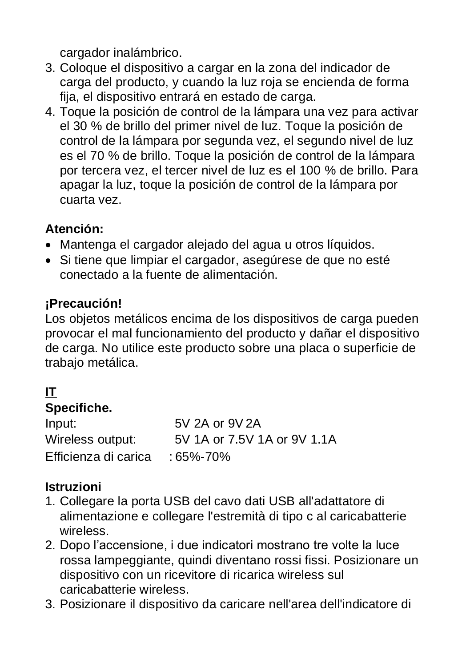cargador inalámbrico.

- 3. Coloque el dispositivo a cargar en la zona del indicador de carga del producto, y cuando la luz roja se encienda de forma fija, el dispositivo entrará en estado de carga.
- 4. Toque la posición de control de la lámpara una vez para activar el 30 % de brillo del primer nivel de luz. Toque la posición de control de la lámpara por segunda vez, el segundo nivel de luz es el 70 % de brillo. Toque la posición de control de la lámpara por tercera vez, el tercer nivel de luz es el 100 % de brillo. Para apagar la luz, toque la posición de control de la lámpara por cuarta vez.

# **Atención:**

- Mantenga el cargador alejado del agua u otros líquidos.
- Si tiene que limpiar el cargador, asegúrese de que no esté conectado a la fuente de alimentación.

# **¡Precaución!**

Los objetos metálicos encima de los dispositivos de carga pueden provocar el mal funcionamiento del producto y dañar el dispositivo de carga. No utilice este producto sobre una placa o superficie de trabajo metálica.

# **IT**

## **Specifiche.**

| Input:               | 5V 2A or 9V 2A              |
|----------------------|-----------------------------|
| Wireless output:     | 5V 1A or 7.5V 1A or 9V 1.1A |
| Efficienza di carica | $:65\% - 70\%$              |

#### **Istruzioni**

- 1. Collegare la porta USB del cavo dati USB all'adattatore di alimentazione e collegare l'estremità di tipo c al caricabatterie wireless.
- 2. Dopo l'accensione, i due indicatori mostrano tre volte la luce rossa lampeggiante, quindi diventano rossi fissi. Posizionare un dispositivo con un ricevitore di ricarica wireless sul caricabatterie wireless.
- 3. Posizionare il dispositivo da caricare nell'area dell'indicatore di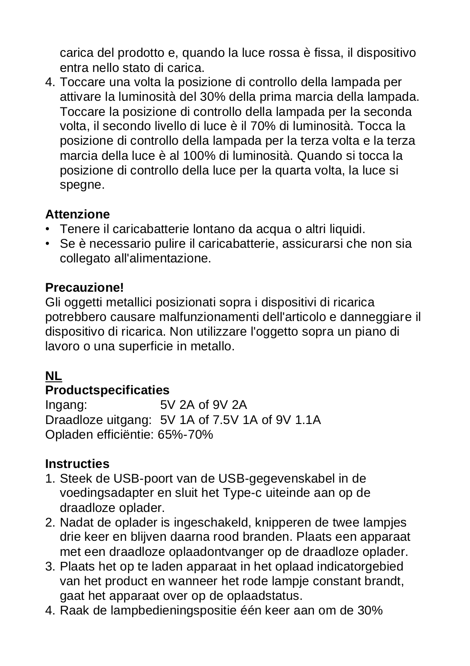carica del prodotto e, quando la luce rossa è fissa, il dispositivo entra nello stato di carica.

4. Toccare una volta la posizione di controllo della lampada per attivare la luminosità del 30% della prima marcia della lampada. Toccare la posizione di controllo della lampada per la seconda volta, il secondo livello di luce è il 70% di luminosità. Tocca la posizione di controllo della lampada per la terza volta e la terza marcia della luce è al 100% di luminosità. Quando si tocca la posizione di controllo della luce per la quarta volta, la luce si spegne.

#### **Attenzione**

- Tenere il caricabatterie lontano da acqua o altri liquidi.
- Se è necessario pulire il caricabatterie, assicurarsi che non sia collegato all'alimentazione.

#### **Precauzione!**

Gli oggetti metallici posizionati sopra i dispositivi di ricarica potrebbero causare malfunzionamenti dell'articolo e danneggiare il dispositivo di ricarica. Non utilizzare l'oggetto sopra un piano di lavoro o una superficie in metallo.

#### **NL**

# **Productspecificaties**<br>Ingang: 5

 $EVI 2A 2E 0VI 2A$ Draadloze uitgang: 5V 1A of 7.5V 1A of 9V 1.1A Opladen efficiëntie: 65%-70%

#### **Instructies**

- 1. Steek de USB-poort van de USB-gegevenskabel in de voedingsadapter en sluit het Type-c uiteinde aan op de draadloze oplader.
- 2. Nadat de oplader is ingeschakeld, knipperen de twee lampjes drie keer en blijven daarna rood branden. Plaats een apparaat met een draadloze oplaadontvanger op de draadloze oplader.
- 3. Plaats het op te laden apparaat in het oplaad indicatorgebied van het product en wanneer het rode lampje constant brandt, gaat het apparaat over op de oplaadstatus.
- 4. Raak de lampbedieningspositie één keer aan om de 30%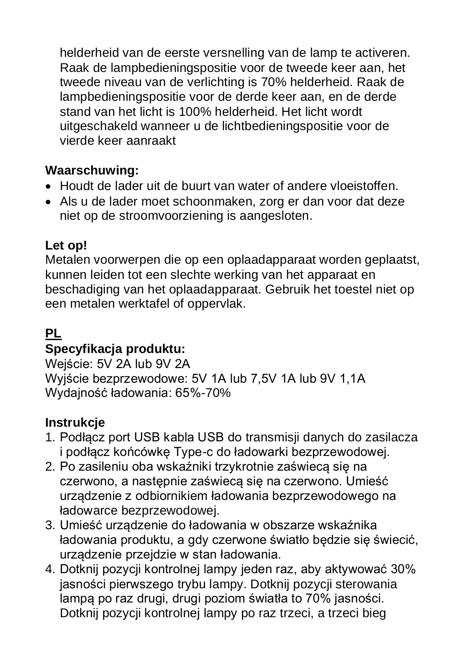helderheid van de eerste versnelling van de lamp te activeren. Raak de lampbedieningspositie voor de tweede keer aan, het tweede niveau van de verlichting is 70% helderheid. Raak de lampbedieningspositie voor de derde keer aan, en de derde stand van het licht is 100% helderheid. Het licht wordt uitgeschakeld wanneer u de lichtbedieningspositie voor de vierde keer aanraakt

#### **Waarschuwing:**

- Houdt de lader uit de buurt van water of andere vloeistoffen.
- Als u de lader moet schoonmaken, zorg er dan voor dat deze niet op de stroomvoorziening is aangesloten.

#### **Let op!**

Metalen voorwerpen die op een oplaadapparaat worden geplaatst, kunnen leiden tot een slechte werking van het apparaat en beschadiging van het oplaadapparaat. Gebruik het toestel niet op een metalen werktafel of oppervlak.

#### **PL**

# **Specyfikacja produktu:**

Wejście: 5V 2A lub 9V 2A Wyjście bezprzewodowe: 5V 1A lub 7,5V 1A lub 9V 1,1A Wydajność ładowania: 65%-70%

# **Instrukcje**

- 1. Podłącz port USB kabla USB do transmisji danych do zasilacza i podłącz końcówkę Type-c do ładowarki bezprzewodowej.
- 2. Po zasileniu oba wskaźniki trzykrotnie zaświecą się na czerwono, a następnie zaświecą się na czerwono. Umieść urządzenie z odbiornikiem ładowania bezprzewodowego na ładowarce bezprzewodowej.
- 3. Umieść urządzenie do ładowania w obszarze wskaźnika ładowania produktu, a gdy czerwone światło będzie się świecić, urządzenie przejdzie w stan ładowania.
- 4. Dotknij pozycji kontrolnej lampy jeden raz, aby aktywować 30% jasności pierwszego trybu lampy. Dotknij pozycji sterowania lampą po raz drugi, drugi poziom światła to 70% jasności. Dotknij pozycji kontrolnej lampy po raz trzeci, a trzeci bieg